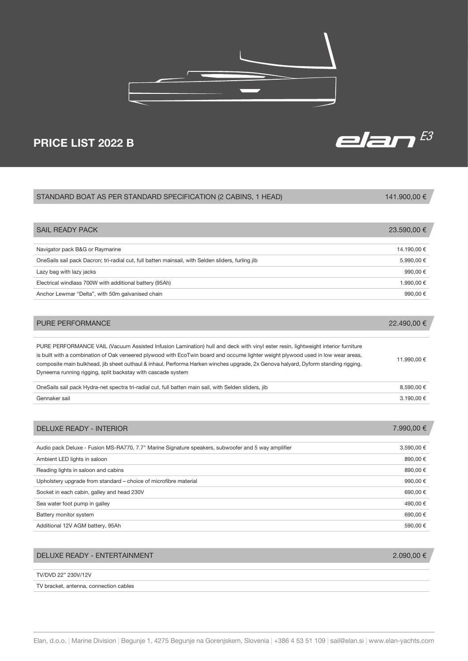

## Navigator pack B&G or Raymarine 14.190,00 € OneSails sail pack Dacron; tri-radial cut, full batten mainsail, with Selden sliders, furling jib 5.990,500 € Lazy bag with lazy jacks  $990,00 \in$ Electrical windlass 700W with additional battery (95Ah)  $1.990,00 \in$ Anchor Lewmar "Delta", with 50m galvanised chain 990,00  $\epsilon$ PURE PERFORMANCE VAIL (Vacuum Assisted Infusion Lamination) hull and deck with vinyl ester resin, lightweight interior furniture is built with a combination of Oak veneered plywood with EcoTwin board and occume lighter weight plywood used in low wear areas, composite main bulkhead, jib sheet outhaul & inhaul, Performa Harken winches upgrade, 2x Genova halyard, Dyform standing rigging, Dyneema running rigging, split backstay with cascade system 11.990,00 € OneSails sail pack Hydra-net spectra tri-radial cut, full batten main sail, with Selden sliders, jib 8.590,00 € Gennaker sail  $3.190,00 \in$ STANDARD BOAT AS PER STANDARD SPECIFICATION (2 CABINS, 1 HEAD) SAIL READY PACK PURE PERFORMANCE 141.900,00 € 23.590,00 € 22.490,00 €

| Audio pack Deluxe - Fusion MS-RA770, 7.7" Marine Signature speakers, subwoofer and 5 way amplifier | 3.590,00 € |
|----------------------------------------------------------------------------------------------------|------------|
| Ambient LED lights in saloon                                                                       | 890,00€    |
| Reading lights in saloon and cabins                                                                | 890,00€    |
| Upholstery upgrade from standard – choice of microfibre material                                   | 990,00€    |
| Socket in each cabin, galley and head 230V                                                         | 690,00€    |
| Sea water foot pump in galley                                                                      | 490.00 €   |
| Battery monitor system                                                                             | 690,00€    |
| Additional 12V AGM battery, 95Ah                                                                   | 590.00€    |

## DELUXE READY - ENTERTAINMENT

TV/DVD 22" 230V/12V

TV bracket, antenna, connection cables

DELUXE READY - INTERIOR



7.990,00 €



2.090,00 €